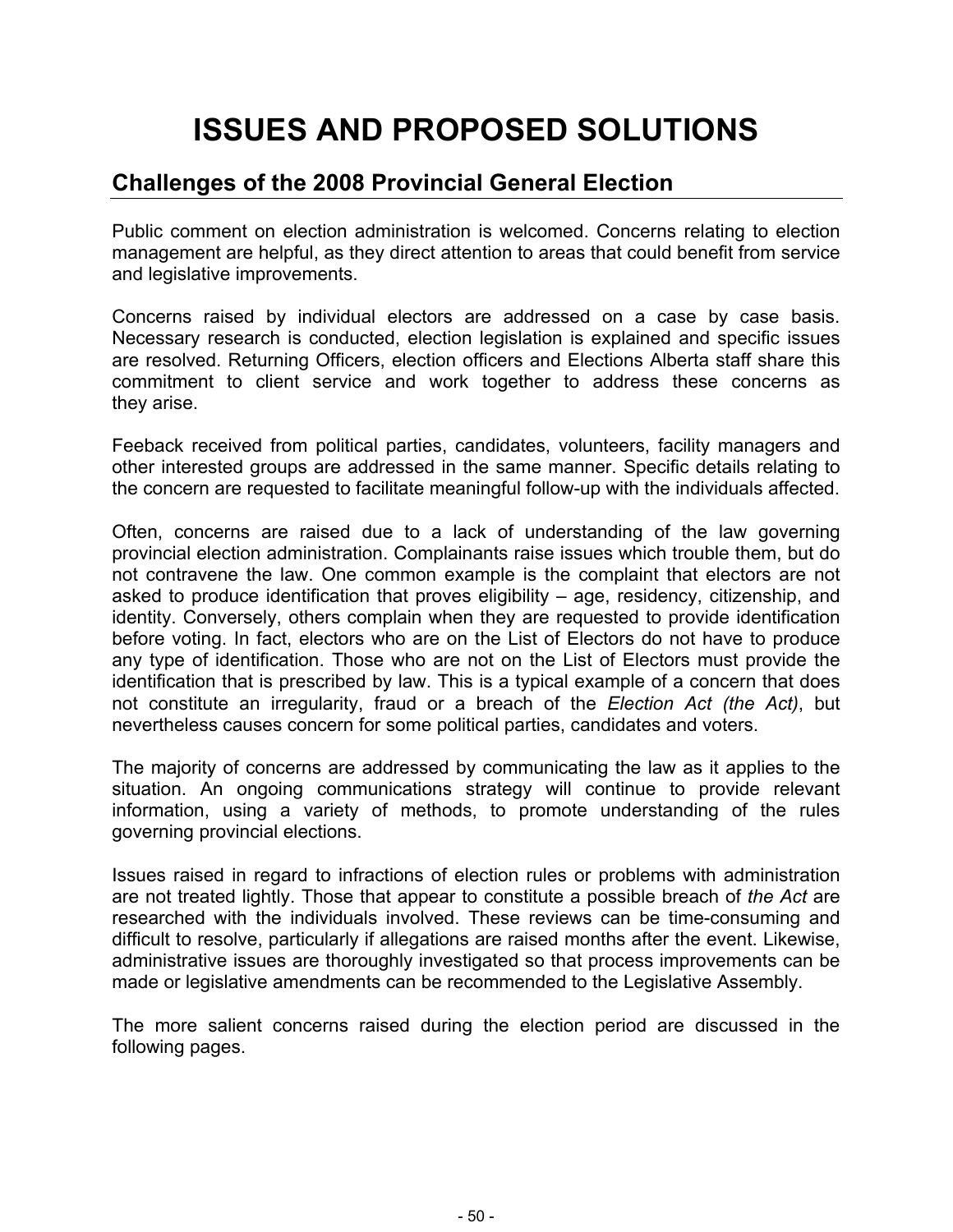# **ISSUES AND PROPOSED SOLUTIONS**

# **Challenges of the 2008 Provincial General Election**

Public comment on election administration is welcomed. Concerns relating to election management are helpful, as they direct attention to areas that could benefit from service and legislative improvements.

Concerns raised by individual electors are addressed on a case by case basis. Necessary research is conducted, election legislation is explained and specific issues are resolved. Returning Officers, election officers and Elections Alberta staff share this commitment to client service and work together to address these concerns as they arise.

Feeback received from political parties, candidates, volunteers, facility managers and other interested groups are addressed in the same manner. Specific details relating to the concern are requested to facilitate meaningful follow-up with the individuals affected.

Often, concerns are raised due to a lack of understanding of the law governing provincial election administration. Complainants raise issues which trouble them, but do not contravene the law. One common example is the complaint that electors are not asked to produce identification that proves eligibility – age, residency, citizenship, and identity. Conversely, others complain when they are requested to provide identification before voting. In fact, electors who are on the List of Electors do not have to produce any type of identification. Those who are not on the List of Electors must provide the identification that is prescribed by law. This is a typical example of a concern that does not constitute an irregularity, fraud or a breach of the *Election Act (the Act)*, but nevertheless causes concern for some political parties, candidates and voters.

The majority of concerns are addressed by communicating the law as it applies to the situation. An ongoing communications strategy will continue to provide relevant information, using a variety of methods, to promote understanding of the rules governing provincial elections.

Issues raised in regard to infractions of election rules or problems with administration are not treated lightly. Those that appear to constitute a possible breach of *the Act* are researched with the individuals involved. These reviews can be time-consuming and difficult to resolve, particularly if allegations are raised months after the event. Likewise, administrative issues are thoroughly investigated so that process improvements can be made or legislative amendments can be recommended to the Legislative Assembly.

The more salient concerns raised during the election period are discussed in the following pages.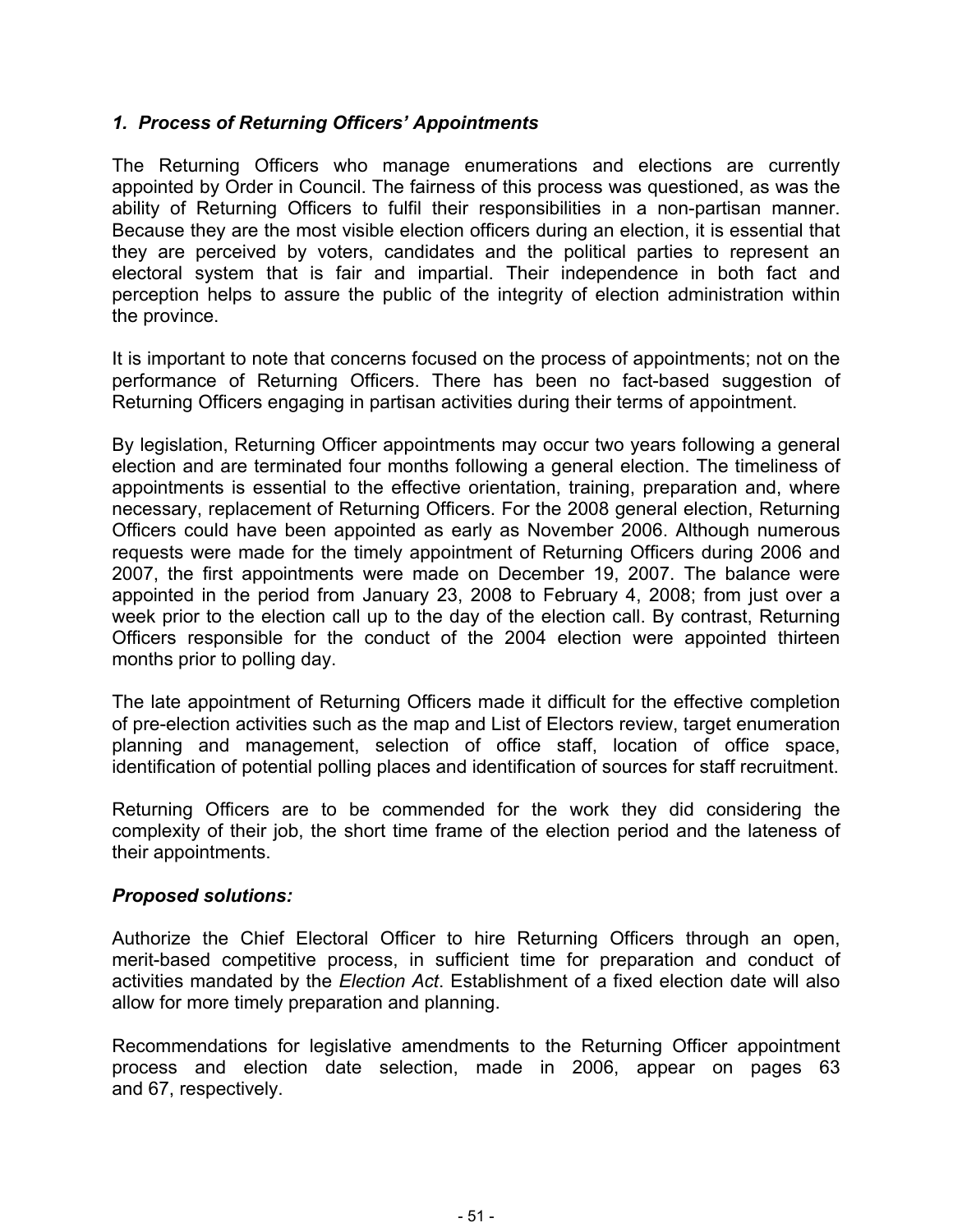# *1. Process of Returning Officers' Appointments*

The Returning Officers who manage enumerations and elections are currently appointed by Order in Council. The fairness of this process was questioned, as was the ability of Returning Officers to fulfil their responsibilities in a non-partisan manner. Because they are the most visible election officers during an election, it is essential that they are perceived by voters, candidates and the political parties to represent an electoral system that is fair and impartial. Their independence in both fact and perception helps to assure the public of the integrity of election administration within the province.

It is important to note that concerns focused on the process of appointments; not on the performance of Returning Officers. There has been no fact-based suggestion of Returning Officers engaging in partisan activities during their terms of appointment.

By legislation, Returning Officer appointments may occur two years following a general election and are terminated four months following a general election. The timeliness of appointments is essential to the effective orientation, training, preparation and, where necessary, replacement of Returning Officers. For the 2008 general election, Returning Officers could have been appointed as early as November 2006. Although numerous requests were made for the timely appointment of Returning Officers during 2006 and 2007, the first appointments were made on December 19, 2007. The balance were appointed in the period from January 23, 2008 to February 4, 2008; from just over a week prior to the election call up to the day of the election call. By contrast, Returning Officers responsible for the conduct of the 2004 election were appointed thirteen months prior to polling day.

The late appointment of Returning Officers made it difficult for the effective completion of pre-election activities such as the map and List of Electors review, target enumeration planning and management, selection of office staff, location of office space, identification of potential polling places and identification of sources for staff recruitment.

Returning Officers are to be commended for the work they did considering the complexity of their job, the short time frame of the election period and the lateness of their appointments.

# *Proposed solutions:*

Authorize the Chief Electoral Officer to hire Returning Officers through an open, merit-based competitive process, in sufficient time for preparation and conduct of activities mandated by the *Election Act*. Establishment of a fixed election date will also allow for more timely preparation and planning.

Recommendations for legislative amendments to the Returning Officer appointment process and election date selection, made in 2006, appear on pages 63 and 67, respectively.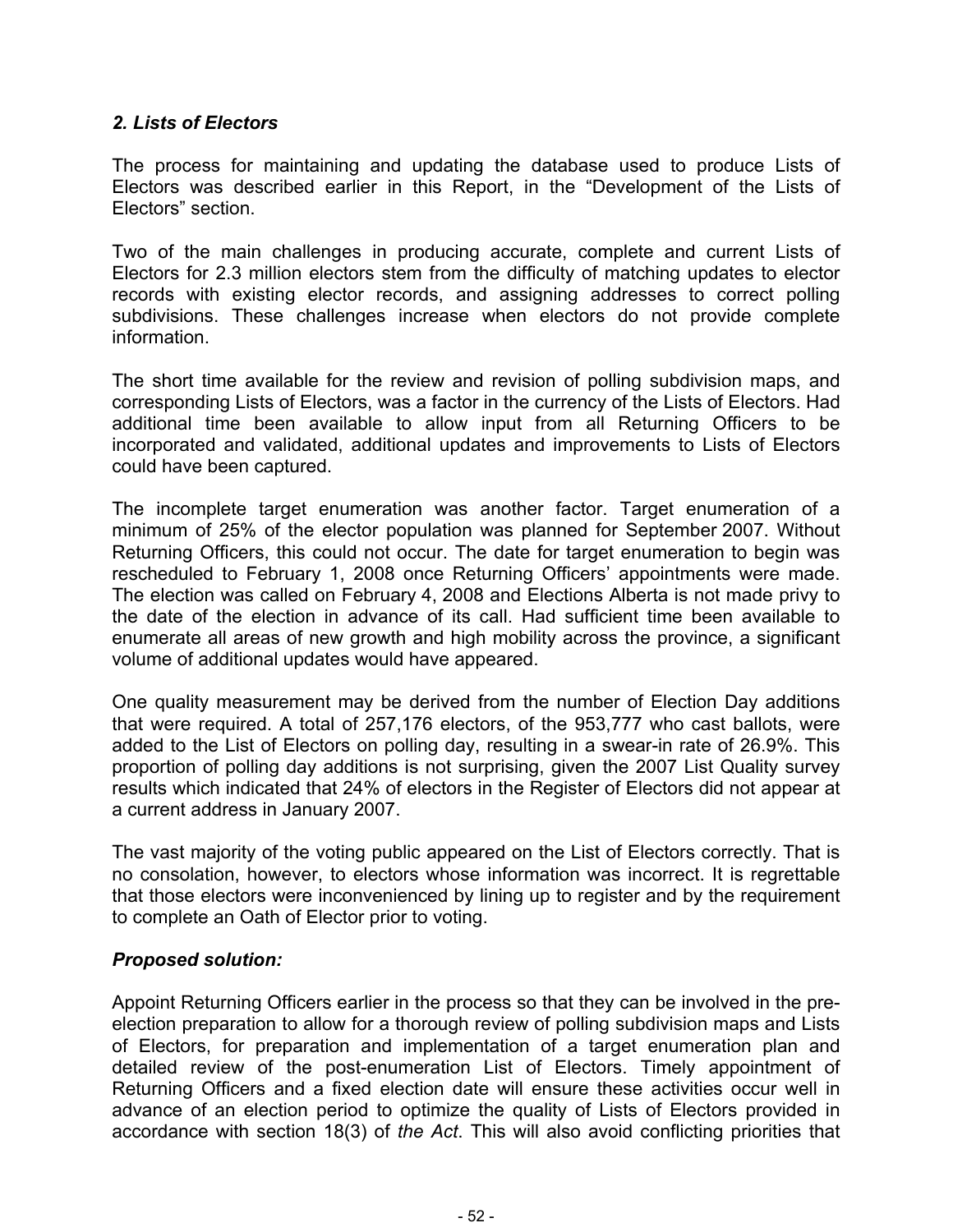# *2. Lists of Electors*

The process for maintaining and updating the database used to produce Lists of Electors was described earlier in this Report, in the "Development of the Lists of Electors" section.

Two of the main challenges in producing accurate, complete and current Lists of Electors for 2.3 million electors stem from the difficulty of matching updates to elector records with existing elector records, and assigning addresses to correct polling subdivisions. These challenges increase when electors do not provide complete information.

The short time available for the review and revision of polling subdivision maps, and corresponding Lists of Electors, was a factor in the currency of the Lists of Electors. Had additional time been available to allow input from all Returning Officers to be incorporated and validated, additional updates and improvements to Lists of Electors could have been captured.

The incomplete target enumeration was another factor. Target enumeration of a minimum of 25% of the elector population was planned for September 2007. Without Returning Officers, this could not occur. The date for target enumeration to begin was rescheduled to February 1, 2008 once Returning Officers' appointments were made. The election was called on February 4, 2008 and Elections Alberta is not made privy to the date of the election in advance of its call. Had sufficient time been available to enumerate all areas of new growth and high mobility across the province, a significant volume of additional updates would have appeared.

One quality measurement may be derived from the number of Election Day additions that were required. A total of 257,176 electors, of the 953,777 who cast ballots, were added to the List of Electors on polling day, resulting in a swear-in rate of 26.9%. This proportion of polling day additions is not surprising, given the 2007 List Quality survey results which indicated that 24% of electors in the Register of Electors did not appear at a current address in January 2007.

The vast majority of the voting public appeared on the List of Electors correctly. That is no consolation, however, to electors whose information was incorrect. It is regrettable that those electors were inconvenienced by lining up to register and by the requirement to complete an Oath of Elector prior to voting.

# *Proposed solution:*

Appoint Returning Officers earlier in the process so that they can be involved in the preelection preparation to allow for a thorough review of polling subdivision maps and Lists of Electors, for preparation and implementation of a target enumeration plan and detailed review of the post-enumeration List of Electors. Timely appointment of Returning Officers and a fixed election date will ensure these activities occur well in advance of an election period to optimize the quality of Lists of Electors provided in accordance with section 18(3) of *the Act*. This will also avoid conflicting priorities that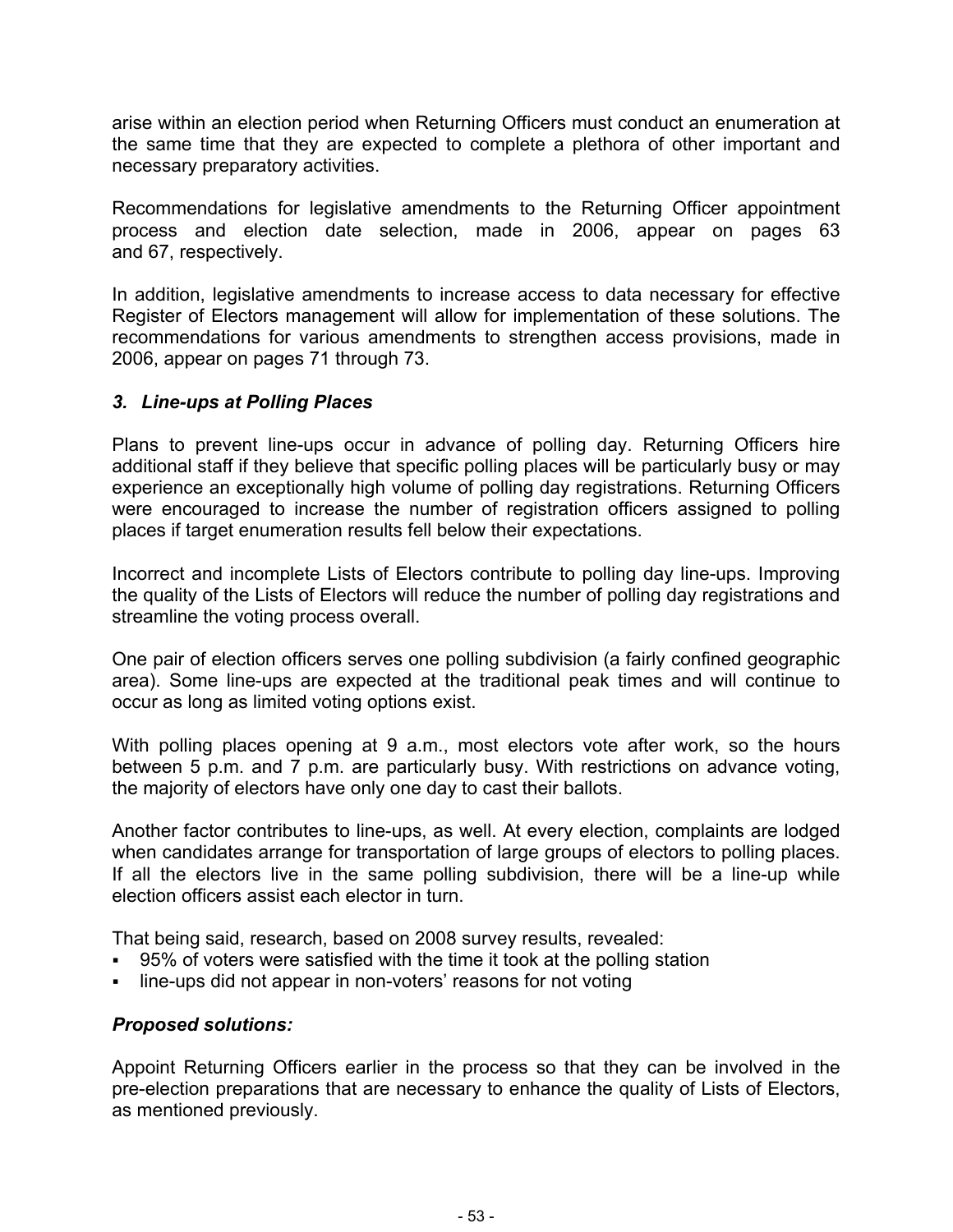arise within an election period when Returning Officers must conduct an enumeration at the same time that they are expected to complete a plethora of other important and necessary preparatory activities.

Recommendations for legislative amendments to the Returning Officer appointment process and election date selection, made in 2006, appear on pages 63 and 67, respectively.

In addition, legislative amendments to increase access to data necessary for effective Register of Electors management will allow for implementation of these solutions. The recommendations for various amendments to strengthen access provisions, made in 2006, appear on pages 71 through 73.

# *3. Line-ups at Polling Places*

Plans to prevent line-ups occur in advance of polling day. Returning Officers hire additional staff if they believe that specific polling places will be particularly busy or may experience an exceptionally high volume of polling day registrations. Returning Officers were encouraged to increase the number of registration officers assigned to polling places if target enumeration results fell below their expectations.

Incorrect and incomplete Lists of Electors contribute to polling day line-ups. Improving the quality of the Lists of Electors will reduce the number of polling day registrations and streamline the voting process overall.

One pair of election officers serves one polling subdivision (a fairly confined geographic area). Some line-ups are expected at the traditional peak times and will continue to occur as long as limited voting options exist.

With polling places opening at 9 a.m., most electors vote after work, so the hours between 5 p.m. and 7 p.m. are particularly busy. With restrictions on advance voting, the majority of electors have only one day to cast their ballots.

Another factor contributes to line-ups, as well. At every election, complaints are lodged when candidates arrange for transportation of large groups of electors to polling places. If all the electors live in the same polling subdivision, there will be a line-up while election officers assist each elector in turn.

That being said, research, based on 2008 survey results, revealed:

- 95% of voters were satisfied with the time it took at the polling station
- line-ups did not appear in non-voters' reasons for not voting

# *Proposed solutions:*

Appoint Returning Officers earlier in the process so that they can be involved in the pre-election preparations that are necessary to enhance the quality of Lists of Electors, as mentioned previously.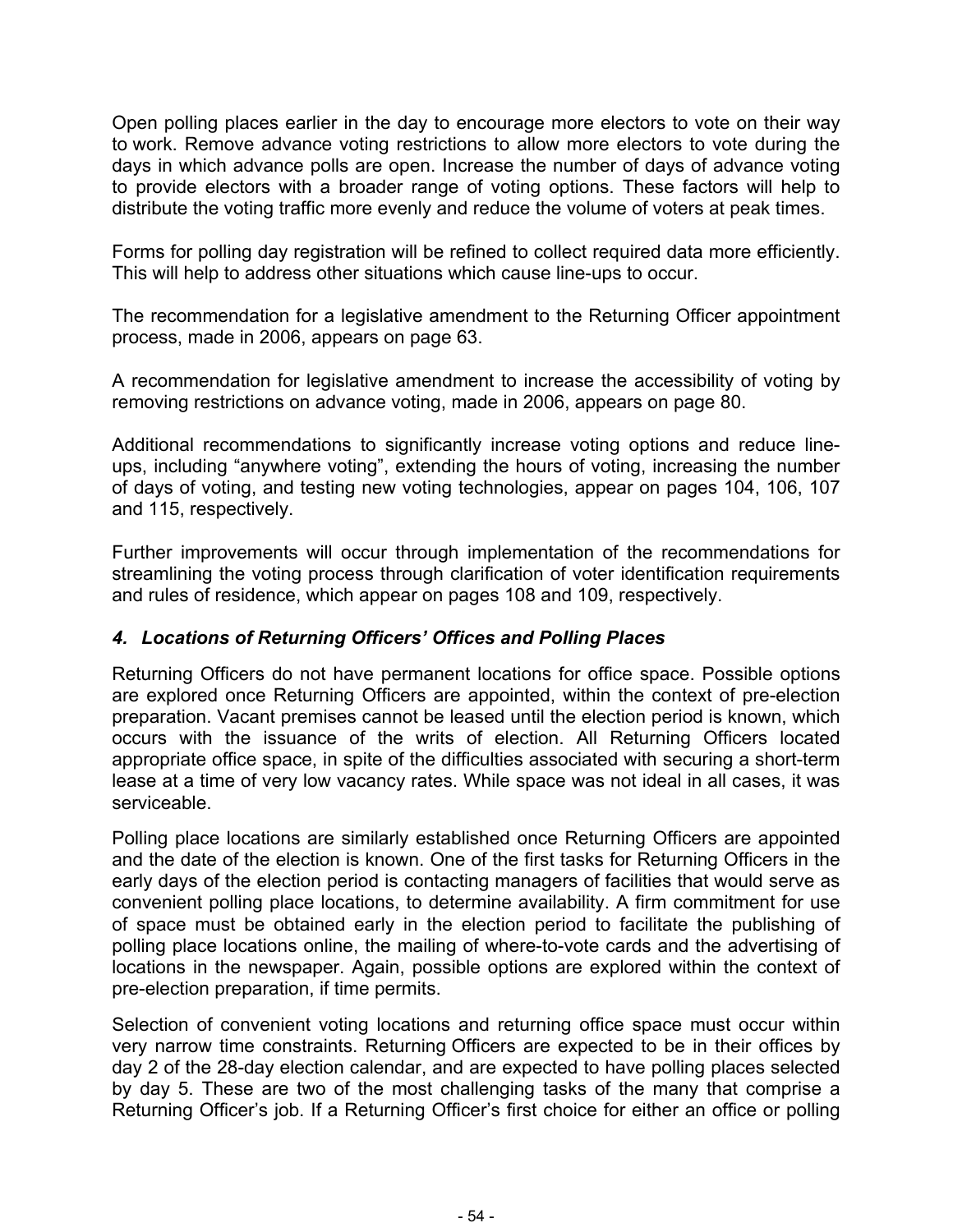Open polling places earlier in the day to encourage more electors to vote on their way to work. Remove advance voting restrictions to allow more electors to vote during the days in which advance polls are open. Increase the number of days of advance voting to provide electors with a broader range of voting options. These factors will help to distribute the voting traffic more evenly and reduce the volume of voters at peak times.

Forms for polling day registration will be refined to collect required data more efficiently. This will help to address other situations which cause line-ups to occur.

The recommendation for a legislative amendment to the Returning Officer appointment process, made in 2006, appears on page 63.

A recommendation for legislative amendment to increase the accessibility of voting by removing restrictions on advance voting, made in 2006, appears on page 80.

Additional recommendations to significantly increase voting options and reduce lineups, including "anywhere voting", extending the hours of voting, increasing the number of days of voting, and testing new voting technologies, appear on pages 104, 106, 107 and 115, respectively.

Further improvements will occur through implementation of the recommendations for streamlining the voting process through clarification of voter identification requirements and rules of residence, which appear on pages 108 and 109, respectively.

# *4. Locations of Returning Officers' Offices and Polling Places*

Returning Officers do not have permanent locations for office space. Possible options are explored once Returning Officers are appointed, within the context of pre-election preparation. Vacant premises cannot be leased until the election period is known, which occurs with the issuance of the writs of election. All Returning Officers located appropriate office space, in spite of the difficulties associated with securing a short-term lease at a time of very low vacancy rates. While space was not ideal in all cases, it was serviceable.

Polling place locations are similarly established once Returning Officers are appointed and the date of the election is known. One of the first tasks for Returning Officers in the early days of the election period is contacting managers of facilities that would serve as convenient polling place locations, to determine availability. A firm commitment for use of space must be obtained early in the election period to facilitate the publishing of polling place locations online, the mailing of where-to-vote cards and the advertising of locations in the newspaper. Again, possible options are explored within the context of pre-election preparation, if time permits.

Selection of convenient voting locations and returning office space must occur within very narrow time constraints. Returning Officers are expected to be in their offices by day 2 of the 28-day election calendar, and are expected to have polling places selected by day 5. These are two of the most challenging tasks of the many that comprise a Returning Officer's job. If a Returning Officer's first choice for either an office or polling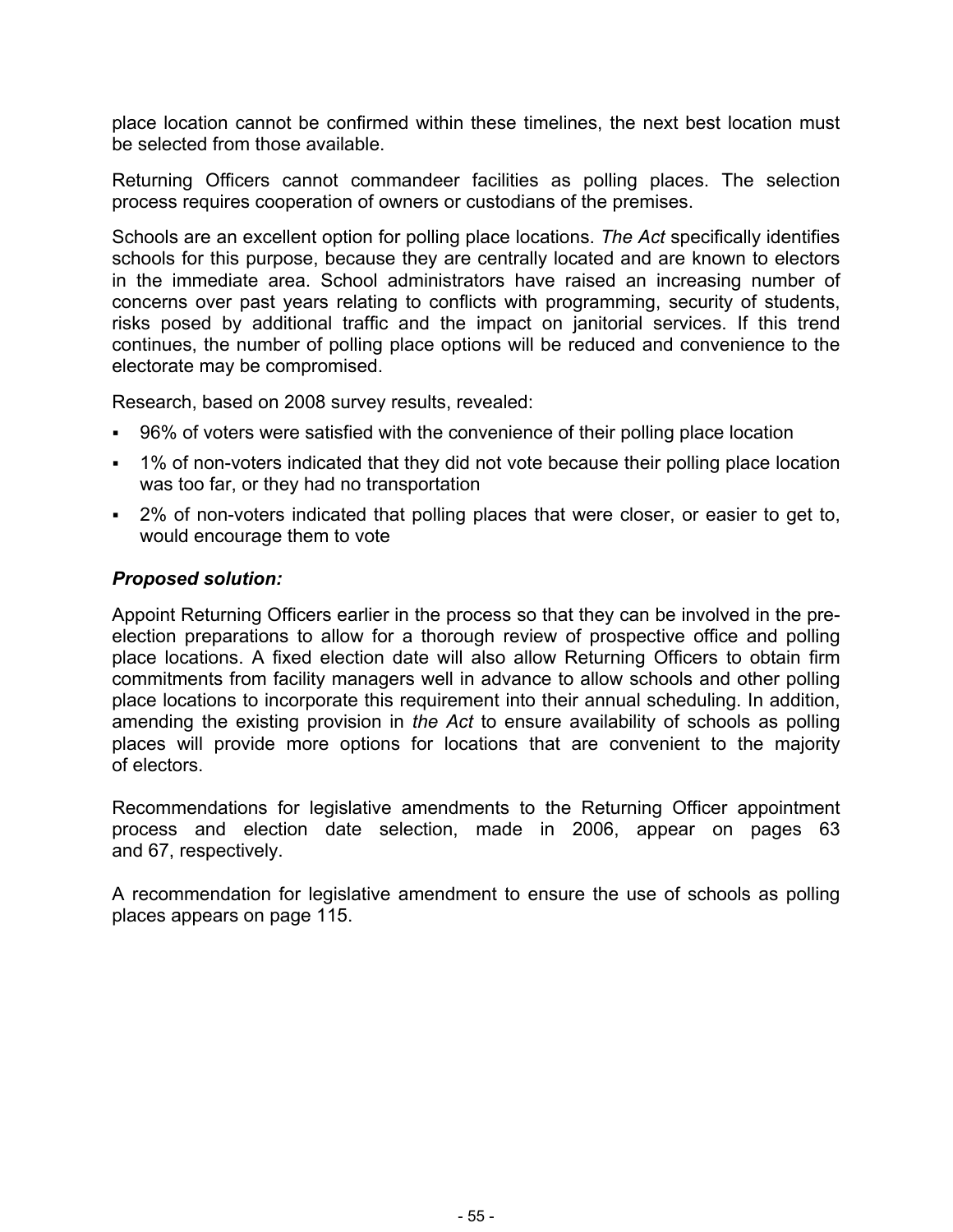place location cannot be confirmed within these timelines, the next best location must be selected from those available.

Returning Officers cannot commandeer facilities as polling places. The selection process requires cooperation of owners or custodians of the premises.

Schools are an excellent option for polling place locations. *The Act* specifically identifies schools for this purpose, because they are centrally located and are known to electors in the immediate area. School administrators have raised an increasing number of concerns over past years relating to conflicts with programming, security of students, risks posed by additional traffic and the impact on janitorial services. If this trend continues, the number of polling place options will be reduced and convenience to the electorate may be compromised.

Research, based on 2008 survey results, revealed:

- 96% of voters were satisfied with the convenience of their polling place location
- 1% of non-voters indicated that they did not vote because their polling place location was too far, or they had no transportation
- 2% of non-voters indicated that polling places that were closer, or easier to get to, would encourage them to vote

# *Proposed solution:*

Appoint Returning Officers earlier in the process so that they can be involved in the preelection preparations to allow for a thorough review of prospective office and polling place locations. A fixed election date will also allow Returning Officers to obtain firm commitments from facility managers well in advance to allow schools and other polling place locations to incorporate this requirement into their annual scheduling. In addition, amending the existing provision in *the Act* to ensure availability of schools as polling places will provide more options for locations that are convenient to the majority of electors.

Recommendations for legislative amendments to the Returning Officer appointment process and election date selection, made in 2006, appear on pages 63 and 67, respectively.

A recommendation for legislative amendment to ensure the use of schools as polling places appears on page 115.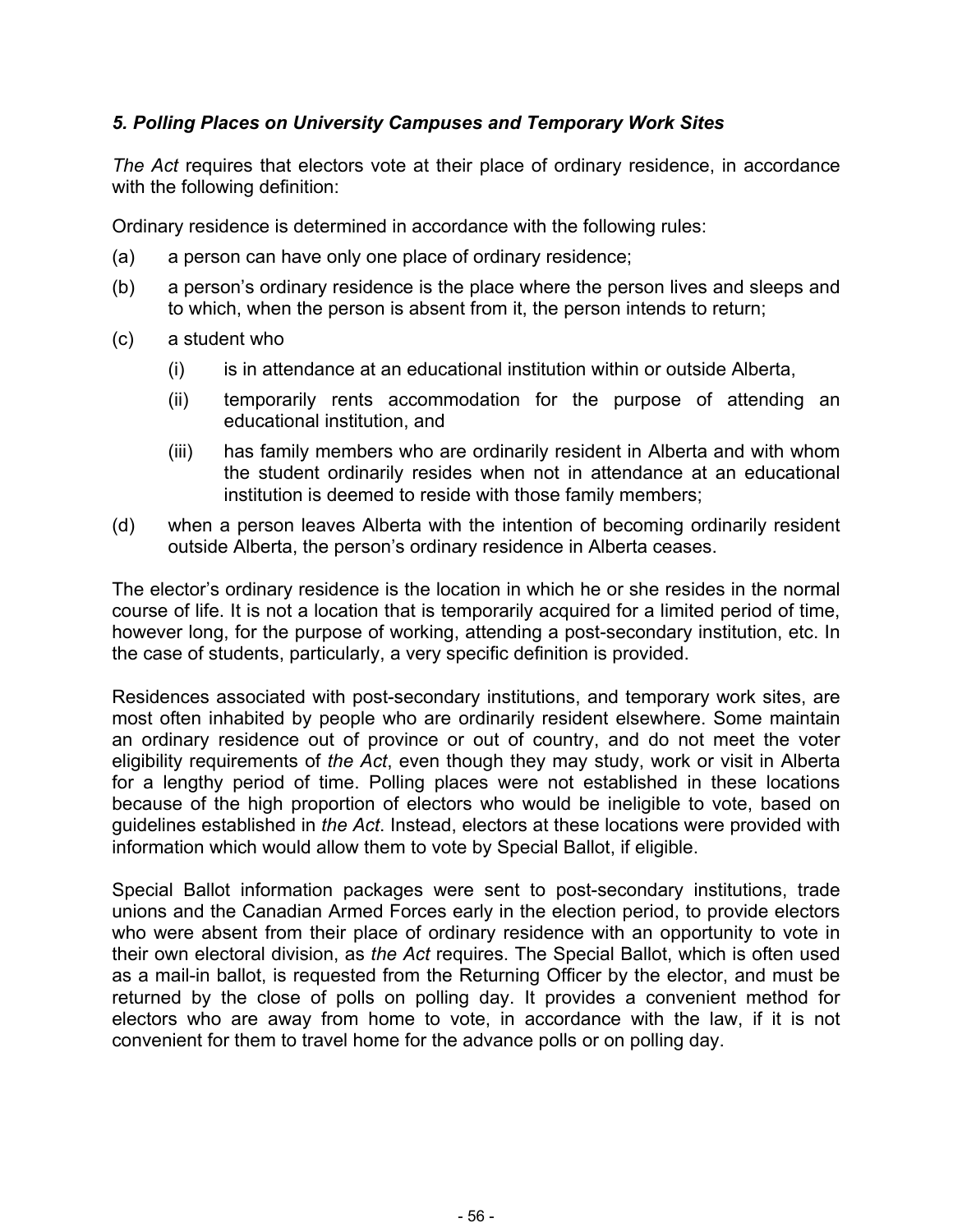# *5. Polling Places on University Campuses and Temporary Work Sites*

*The Act* requires that electors vote at their place of ordinary residence, in accordance with the following definition:

Ordinary residence is determined in accordance with the following rules:

- (a) a person can have only one place of ordinary residence;
- (b) a person's ordinary residence is the place where the person lives and sleeps and to which, when the person is absent from it, the person intends to return;
- (c) a student who
	- (i) is in attendance at an educational institution within or outside Alberta,
	- (ii) temporarily rents accommodation for the purpose of attending an educational institution, and
	- (iii) has family members who are ordinarily resident in Alberta and with whom the student ordinarily resides when not in attendance at an educational institution is deemed to reside with those family members;
- (d) when a person leaves Alberta with the intention of becoming ordinarily resident outside Alberta, the person's ordinary residence in Alberta ceases.

The elector's ordinary residence is the location in which he or she resides in the normal course of life. It is not a location that is temporarily acquired for a limited period of time, however long, for the purpose of working, attending a post-secondary institution, etc. In the case of students, particularly, a very specific definition is provided.

Residences associated with post-secondary institutions, and temporary work sites, are most often inhabited by people who are ordinarily resident elsewhere. Some maintain an ordinary residence out of province or out of country, and do not meet the voter eligibility requirements of *the Act*, even though they may study, work or visit in Alberta for a lengthy period of time. Polling places were not established in these locations because of the high proportion of electors who would be ineligible to vote, based on guidelines established in *the Act*. Instead, electors at these locations were provided with information which would allow them to vote by Special Ballot, if eligible.

Special Ballot information packages were sent to post-secondary institutions, trade unions and the Canadian Armed Forces early in the election period, to provide electors who were absent from their place of ordinary residence with an opportunity to vote in their own electoral division, as *the Act* requires. The Special Ballot, which is often used as a mail-in ballot, is requested from the Returning Officer by the elector, and must be returned by the close of polls on polling day. It provides a convenient method for electors who are away from home to vote, in accordance with the law, if it is not convenient for them to travel home for the advance polls or on polling day.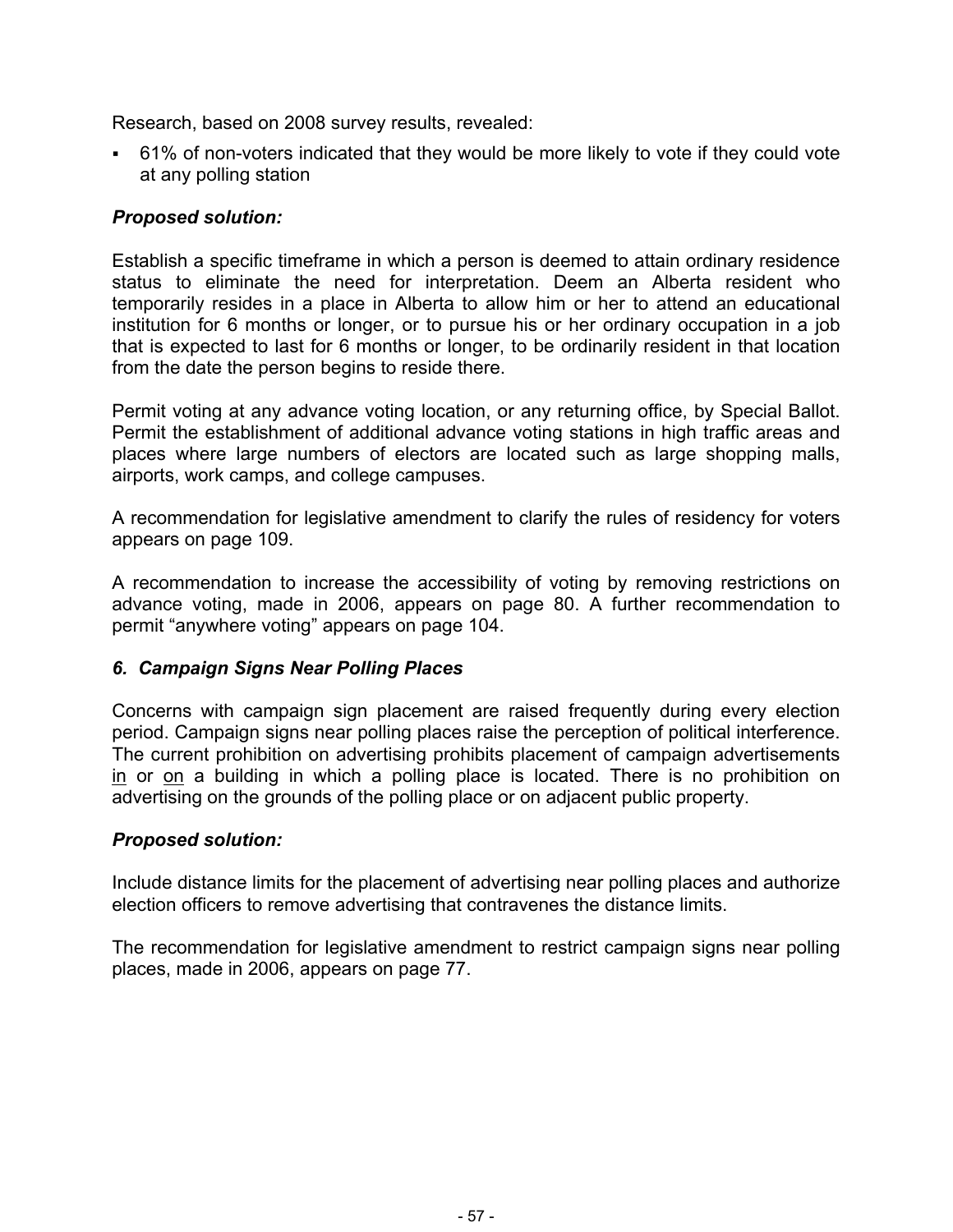Research, based on 2008 survey results, revealed:

 61% of non-voters indicated that they would be more likely to vote if they could vote at any polling station

# *Proposed solution:*

Establish a specific timeframe in which a person is deemed to attain ordinary residence status to eliminate the need for interpretation. Deem an Alberta resident who temporarily resides in a place in Alberta to allow him or her to attend an educational institution for 6 months or longer, or to pursue his or her ordinary occupation in a job that is expected to last for 6 months or longer, to be ordinarily resident in that location from the date the person begins to reside there.

Permit voting at any advance voting location, or any returning office, by Special Ballot. Permit the establishment of additional advance voting stations in high traffic areas and places where large numbers of electors are located such as large shopping malls, airports, work camps, and college campuses.

A recommendation for legislative amendment to clarify the rules of residency for voters appears on page 109.

A recommendation to increase the accessibility of voting by removing restrictions on advance voting, made in 2006, appears on page 80. A further recommendation to permit "anywhere voting" appears on page 104.

# *6. Campaign Signs Near Polling Places*

Concerns with campaign sign placement are raised frequently during every election period. Campaign signs near polling places raise the perception of political interference. The current prohibition on advertising prohibits placement of campaign advertisements in or on a building in which a polling place is located. There is no prohibition on advertising on the grounds of the polling place or on adjacent public property.

# *Proposed solution:*

Include distance limits for the placement of advertising near polling places and authorize election officers to remove advertising that contravenes the distance limits.

The recommendation for legislative amendment to restrict campaign signs near polling places, made in 2006, appears on page 77.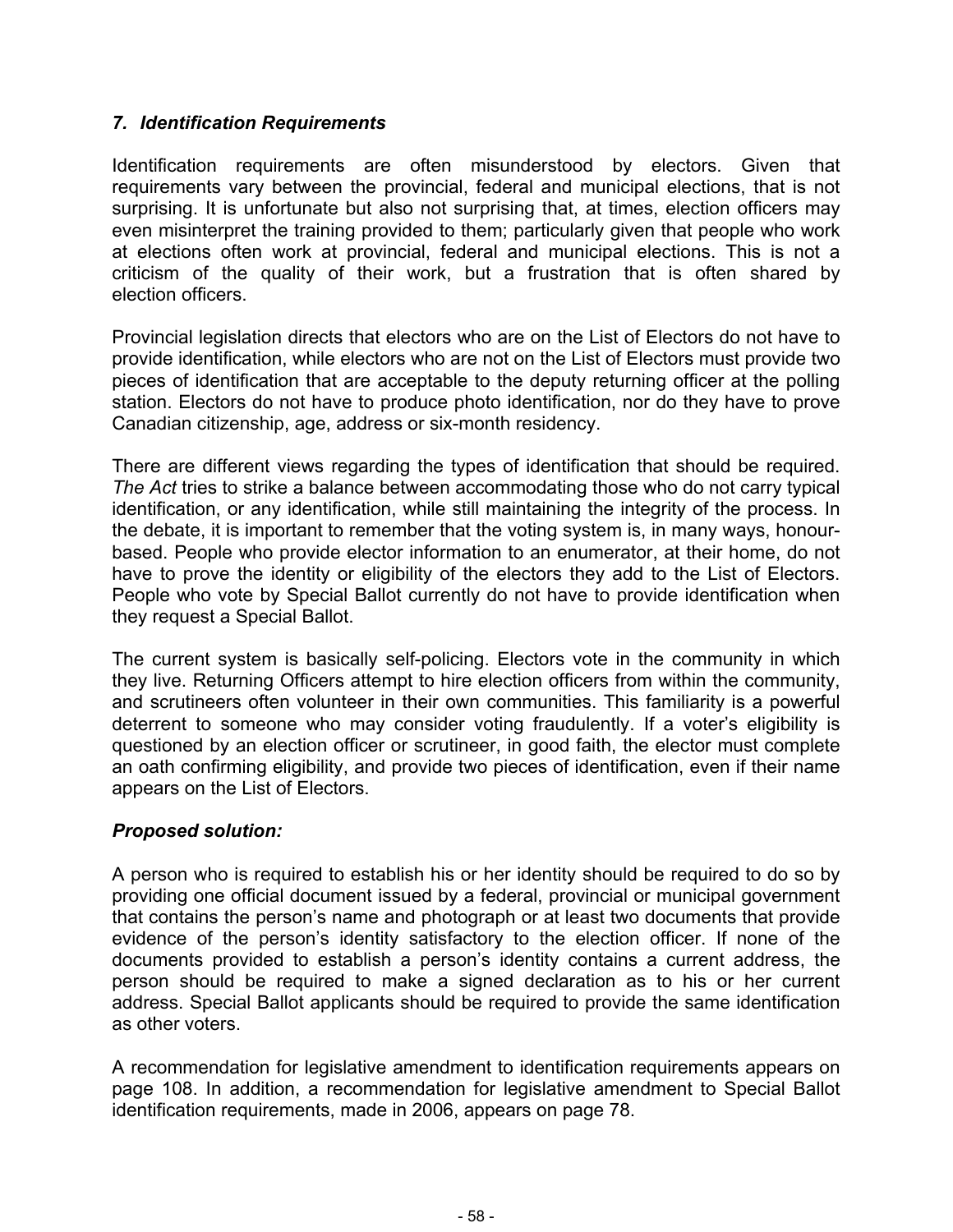# *7. Identification Requirements*

Identification requirements are often misunderstood by electors. Given that requirements vary between the provincial, federal and municipal elections, that is not surprising. It is unfortunate but also not surprising that, at times, election officers may even misinterpret the training provided to them; particularly given that people who work at elections often work at provincial, federal and municipal elections. This is not a criticism of the quality of their work, but a frustration that is often shared by election officers.

Provincial legislation directs that electors who are on the List of Electors do not have to provide identification, while electors who are not on the List of Electors must provide two pieces of identification that are acceptable to the deputy returning officer at the polling station. Electors do not have to produce photo identification, nor do they have to prove Canadian citizenship, age, address or six-month residency.

There are different views regarding the types of identification that should be required. *The Act* tries to strike a balance between accommodating those who do not carry typical identification, or any identification, while still maintaining the integrity of the process. In the debate, it is important to remember that the voting system is, in many ways, honourbased. People who provide elector information to an enumerator, at their home, do not have to prove the identity or eligibility of the electors they add to the List of Electors. People who vote by Special Ballot currently do not have to provide identification when they request a Special Ballot.

The current system is basically self-policing. Electors vote in the community in which they live. Returning Officers attempt to hire election officers from within the community, and scrutineers often volunteer in their own communities. This familiarity is a powerful deterrent to someone who may consider voting fraudulently. If a voter's eligibility is questioned by an election officer or scrutineer, in good faith, the elector must complete an oath confirming eligibility, and provide two pieces of identification, even if their name appears on the List of Electors.

# *Proposed solution:*

A person who is required to establish his or her identity should be required to do so by providing one official document issued by a federal, provincial or municipal government that contains the person's name and photograph or at least two documents that provide evidence of the person's identity satisfactory to the election officer. If none of the documents provided to establish a person's identity contains a current address, the person should be required to make a signed declaration as to his or her current address. Special Ballot applicants should be required to provide the same identification as other voters.

A recommendation for legislative amendment to identification requirements appears on page 108. In addition, a recommendation for legislative amendment to Special Ballot identification requirements, made in 2006, appears on page 78.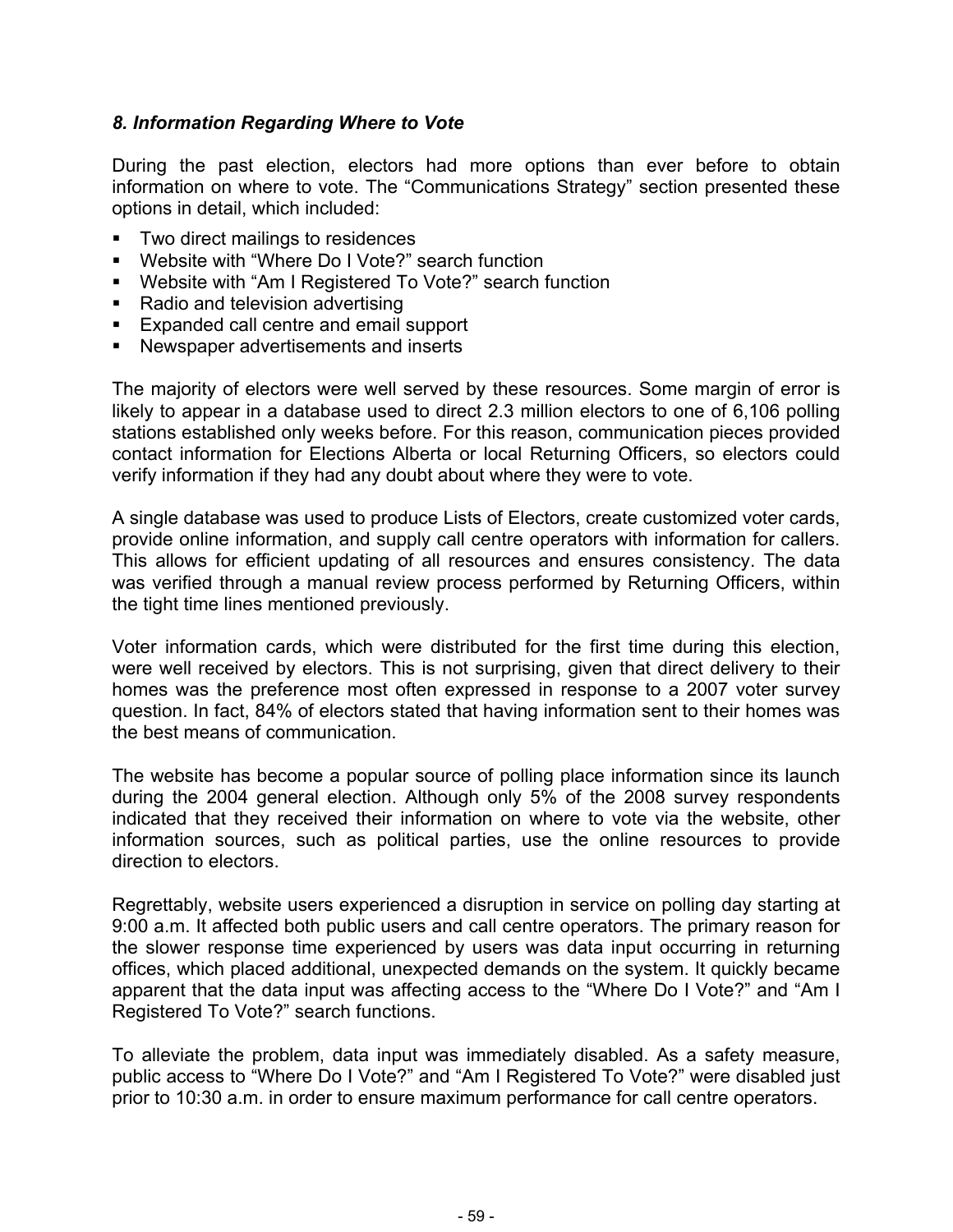# *8. Information Regarding Where to Vote*

During the past election, electors had more options than ever before to obtain information on where to vote. The "Communications Strategy" section presented these options in detail, which included:

- **Two direct mailings to residences**
- Website with "Where Do I Vote?" search function
- Website with "Am I Registered To Vote?" search function
- Radio and television advertising
- **Expanded call centre and email support**
- Newspaper advertisements and inserts

The majority of electors were well served by these resources. Some margin of error is likely to appear in a database used to direct 2.3 million electors to one of 6,106 polling stations established only weeks before. For this reason, communication pieces provided contact information for Elections Alberta or local Returning Officers, so electors could verify information if they had any doubt about where they were to vote.

A single database was used to produce Lists of Electors, create customized voter cards, provide online information, and supply call centre operators with information for callers. This allows for efficient updating of all resources and ensures consistency. The data was verified through a manual review process performed by Returning Officers, within the tight time lines mentioned previously.

Voter information cards, which were distributed for the first time during this election, were well received by electors. This is not surprising, given that direct delivery to their homes was the preference most often expressed in response to a 2007 voter survey question. In fact, 84% of electors stated that having information sent to their homes was the best means of communication.

The website has become a popular source of polling place information since its launch during the 2004 general election. Although only 5% of the 2008 survey respondents indicated that they received their information on where to vote via the website, other information sources, such as political parties, use the online resources to provide direction to electors.

Regrettably, website users experienced a disruption in service on polling day starting at 9:00 a.m. It affected both public users and call centre operators. The primary reason for the slower response time experienced by users was data input occurring in returning offices, which placed additional, unexpected demands on the system. It quickly became apparent that the data input was affecting access to the "Where Do I Vote?" and "Am I Registered To Vote?" search functions.

To alleviate the problem, data input was immediately disabled. As a safety measure, public access to "Where Do I Vote?" and "Am I Registered To Vote?" were disabled just prior to 10:30 a.m. in order to ensure maximum performance for call centre operators.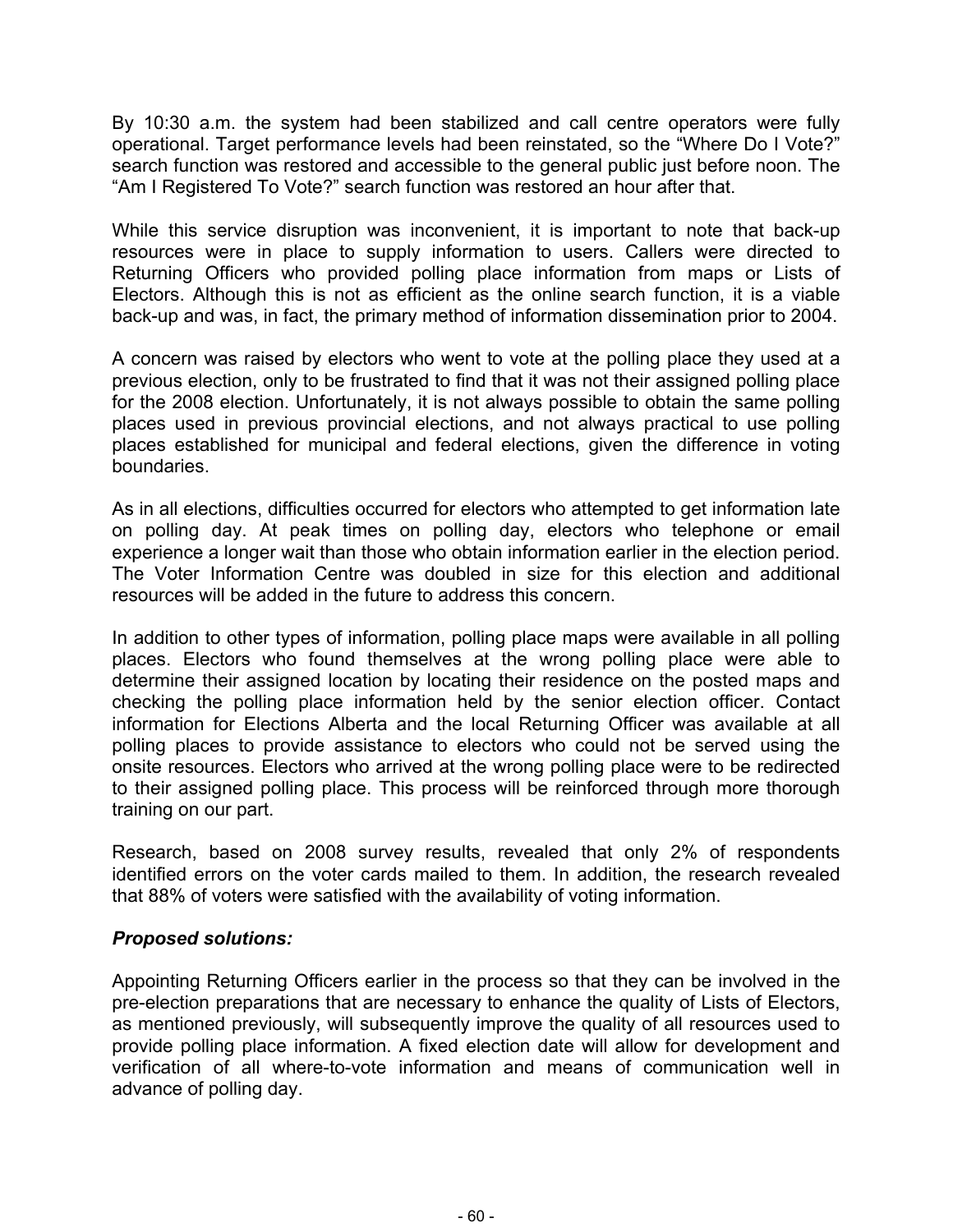By 10:30 a.m. the system had been stabilized and call centre operators were fully operational. Target performance levels had been reinstated, so the "Where Do I Vote?" search function was restored and accessible to the general public just before noon. The "Am I Registered To Vote?" search function was restored an hour after that.

While this service disruption was inconvenient, it is important to note that back-up resources were in place to supply information to users. Callers were directed to Returning Officers who provided polling place information from maps or Lists of Electors. Although this is not as efficient as the online search function, it is a viable back-up and was, in fact, the primary method of information dissemination prior to 2004.

A concern was raised by electors who went to vote at the polling place they used at a previous election, only to be frustrated to find that it was not their assigned polling place for the 2008 election. Unfortunately, it is not always possible to obtain the same polling places used in previous provincial elections, and not always practical to use polling places established for municipal and federal elections, given the difference in voting boundaries.

As in all elections, difficulties occurred for electors who attempted to get information late on polling day. At peak times on polling day, electors who telephone or email experience a longer wait than those who obtain information earlier in the election period. The Voter Information Centre was doubled in size for this election and additional resources will be added in the future to address this concern.

In addition to other types of information, polling place maps were available in all polling places. Electors who found themselves at the wrong polling place were able to determine their assigned location by locating their residence on the posted maps and checking the polling place information held by the senior election officer. Contact information for Elections Alberta and the local Returning Officer was available at all polling places to provide assistance to electors who could not be served using the onsite resources. Electors who arrived at the wrong polling place were to be redirected to their assigned polling place. This process will be reinforced through more thorough training on our part.

Research, based on 2008 survey results, revealed that only 2% of respondents identified errors on the voter cards mailed to them. In addition, the research revealed that 88% of voters were satisfied with the availability of voting information.

# *Proposed solutions:*

Appointing Returning Officers earlier in the process so that they can be involved in the pre-election preparations that are necessary to enhance the quality of Lists of Electors, as mentioned previously, will subsequently improve the quality of all resources used to provide polling place information. A fixed election date will allow for development and verification of all where-to-vote information and means of communication well in advance of polling day.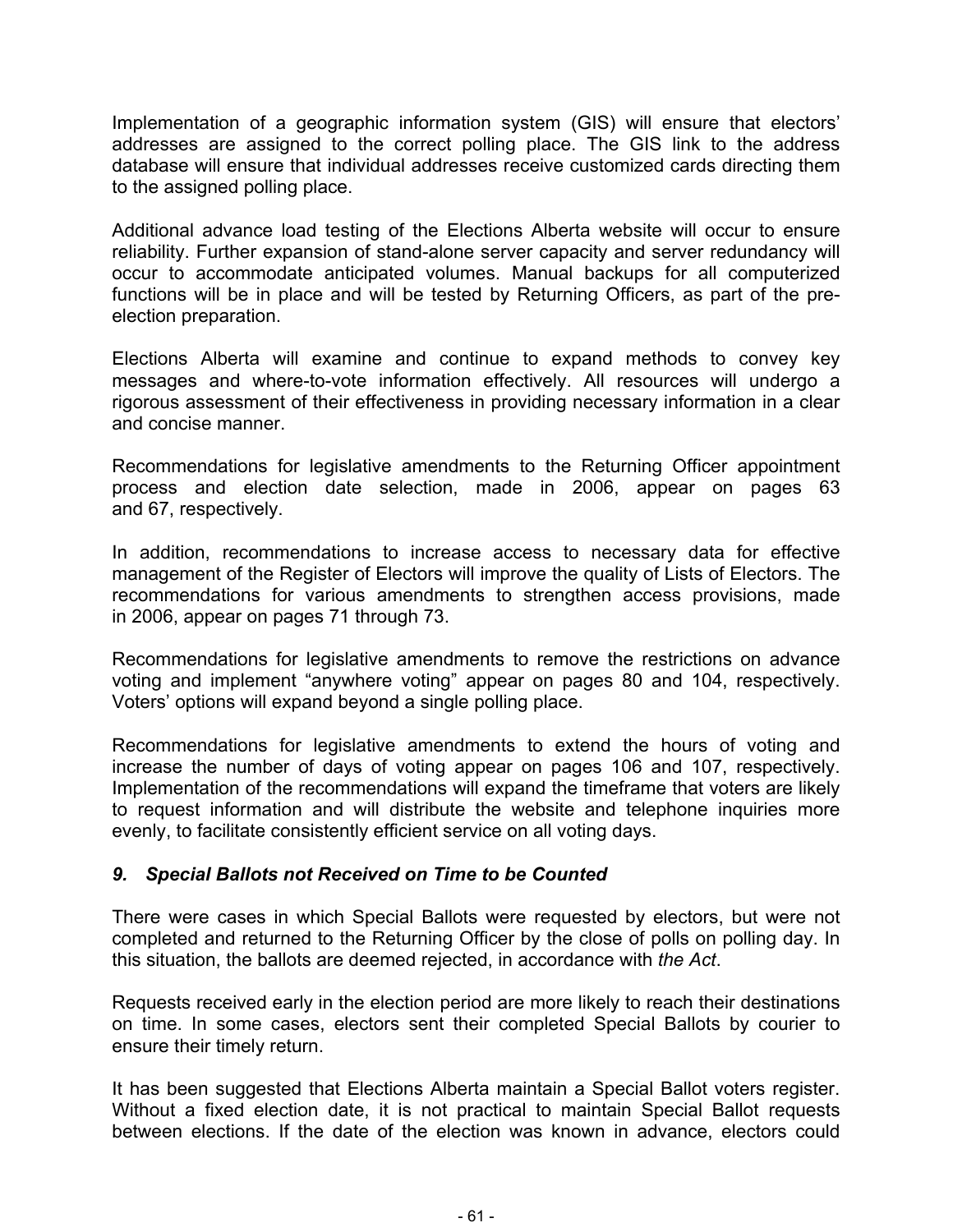Implementation of a geographic information system (GIS) will ensure that electors' addresses are assigned to the correct polling place. The GIS link to the address database will ensure that individual addresses receive customized cards directing them to the assigned polling place.

Additional advance load testing of the Elections Alberta website will occur to ensure reliability. Further expansion of stand-alone server capacity and server redundancy will occur to accommodate anticipated volumes. Manual backups for all computerized functions will be in place and will be tested by Returning Officers, as part of the preelection preparation.

Elections Alberta will examine and continue to expand methods to convey key messages and where-to-vote information effectively. All resources will undergo a rigorous assessment of their effectiveness in providing necessary information in a clear and concise manner.

Recommendations for legislative amendments to the Returning Officer appointment process and election date selection, made in 2006, appear on pages 63 and 67, respectively.

In addition, recommendations to increase access to necessary data for effective management of the Register of Electors will improve the quality of Lists of Electors. The recommendations for various amendments to strengthen access provisions, made in 2006, appear on pages 71 through 73.

Recommendations for legislative amendments to remove the restrictions on advance voting and implement "anywhere voting" appear on pages 80 and 104, respectively. Voters' options will expand beyond a single polling place.

Recommendations for legislative amendments to extend the hours of voting and increase the number of days of voting appear on pages 106 and 107, respectively. Implementation of the recommendations will expand the timeframe that voters are likely to request information and will distribute the website and telephone inquiries more evenly, to facilitate consistently efficient service on all voting days.

# *9. Special Ballots not Received on Time to be Counted*

There were cases in which Special Ballots were requested by electors, but were not completed and returned to the Returning Officer by the close of polls on polling day. In this situation, the ballots are deemed rejected, in accordance with *the Act*.

Requests received early in the election period are more likely to reach their destinations on time. In some cases, electors sent their completed Special Ballots by courier to ensure their timely return.

It has been suggested that Elections Alberta maintain a Special Ballot voters register. Without a fixed election date, it is not practical to maintain Special Ballot requests between elections. If the date of the election was known in advance, electors could